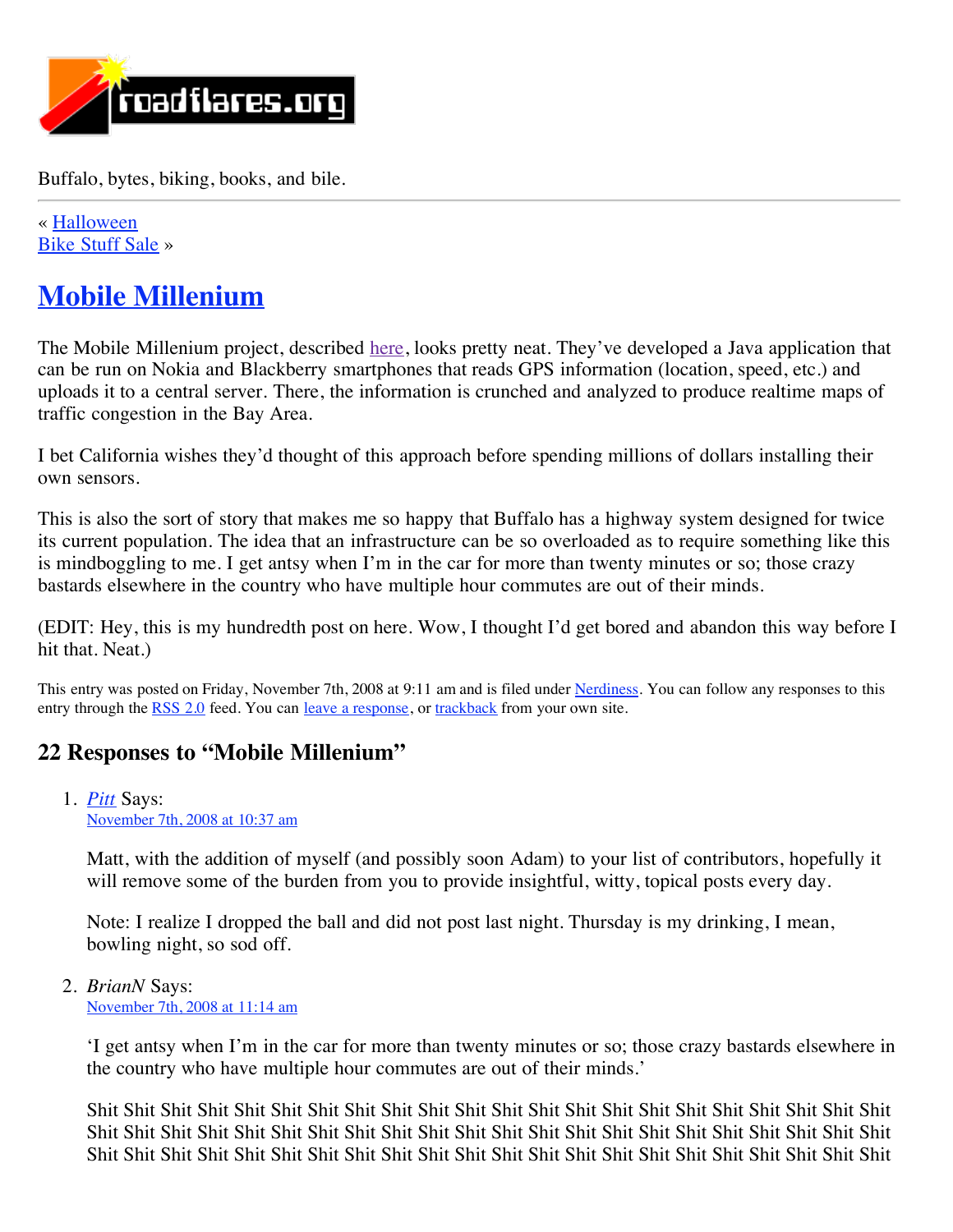

Buffalo, bytes, biking, books, and bile.

« [Halloween](http://www.roadflares.org/blog/?p=294) [Bike Stuff Sale](http://www.roadflares.org/blog/?p=304) »

# **[Mobile Millenium](http://www.roadflares.org/blog/?p=301)**

The Mobile Millenium project, described [here,](http://www.itworld.com/mobile-amp-wireless/57457/project-turns-gps-phones-traffic-reporters) looks pretty neat. They've developed a Java application that can be run on Nokia and Blackberry smartphones that reads GPS information (location, speed, etc.) and uploads it to a central server. There, the information is crunched and analyzed to produce realtime maps of traffic congestion in the Bay Area.

I bet California wishes they'd thought of this approach before spending millions of dollars installing their own sensors.

This is also the sort of story that makes me so happy that Buffalo has a highway system designed for twice its current population. The idea that an infrastructure can be so overloaded as to require something like this is mindboggling to me. I get antsy when I'm in the car for more than twenty minutes or so; those crazy bastards elsewhere in the country who have multiple hour commutes are out of their minds.

(EDIT: Hey, this is my hundredth post on here. Wow, I thought I'd get bored and abandon this way before I hit that. Neat.)

This entry was posted on Friday, November 7th, 2008 at 9:11 am and is filed under [Nerdiness](http://www.roadflares.org/blog/?cat=4). You can follow any responses to this entry through the [RSS 2.0](http://www.roadflares.org/blog/?feed=rss2&p=301) feed. You can [leave a response](http://traffic.berkeley.edu/news/newsarticles/11-2008/nov7_roadflares_blog/index.html#respond), or [trackback](http://www.roadflares.org/blog/wp-trackback.php?p=301) from your own site.

# **22 Responses to "Mobile Millenium"**

1. *[Pitt](http://thekittensburn.googlepages.com/)* Says: [November 7th, 2008 at 10:37 am](http://traffic.berkeley.edu/news/newsarticles/11-2008/nov7_roadflares_blog/index.html#comment-422)

Matt, with the addition of myself (and possibly soon Adam) to your list of contributors, hopefully it will remove some of the burden from you to provide insightful, witty, topical posts every day.

Note: I realize I dropped the ball and did not post last night. Thursday is my drinking, I mean, bowling night, so sod off.

2. *BrianN* Says: [November 7th, 2008 at 11:14 am](http://traffic.berkeley.edu/news/newsarticles/11-2008/nov7_roadflares_blog/index.html#comment-423)

> 'I get antsy when I'm in the car for more than twenty minutes or so; those crazy bastards elsewhere in the country who have multiple hour commutes are out of their minds.'

> Shit Shit Shit Shit Shit Shit Shit Shit Shit Shit Shit Shit Shit Shit Shit Shit Shit Shit Shit Shit Shit Shit Shit Shit Shit Shit Shit Shit Shit Shit Shit Shit Shit Shit Shit Shit Shit Shit Shit Shit Shit Shit Shit Shit Shit Shit Shit Shit Shit Shit Shit Shit Shit Shit Shit Shit Shit Shit Shit Shit Shit Shit Shit Shit Shit Shit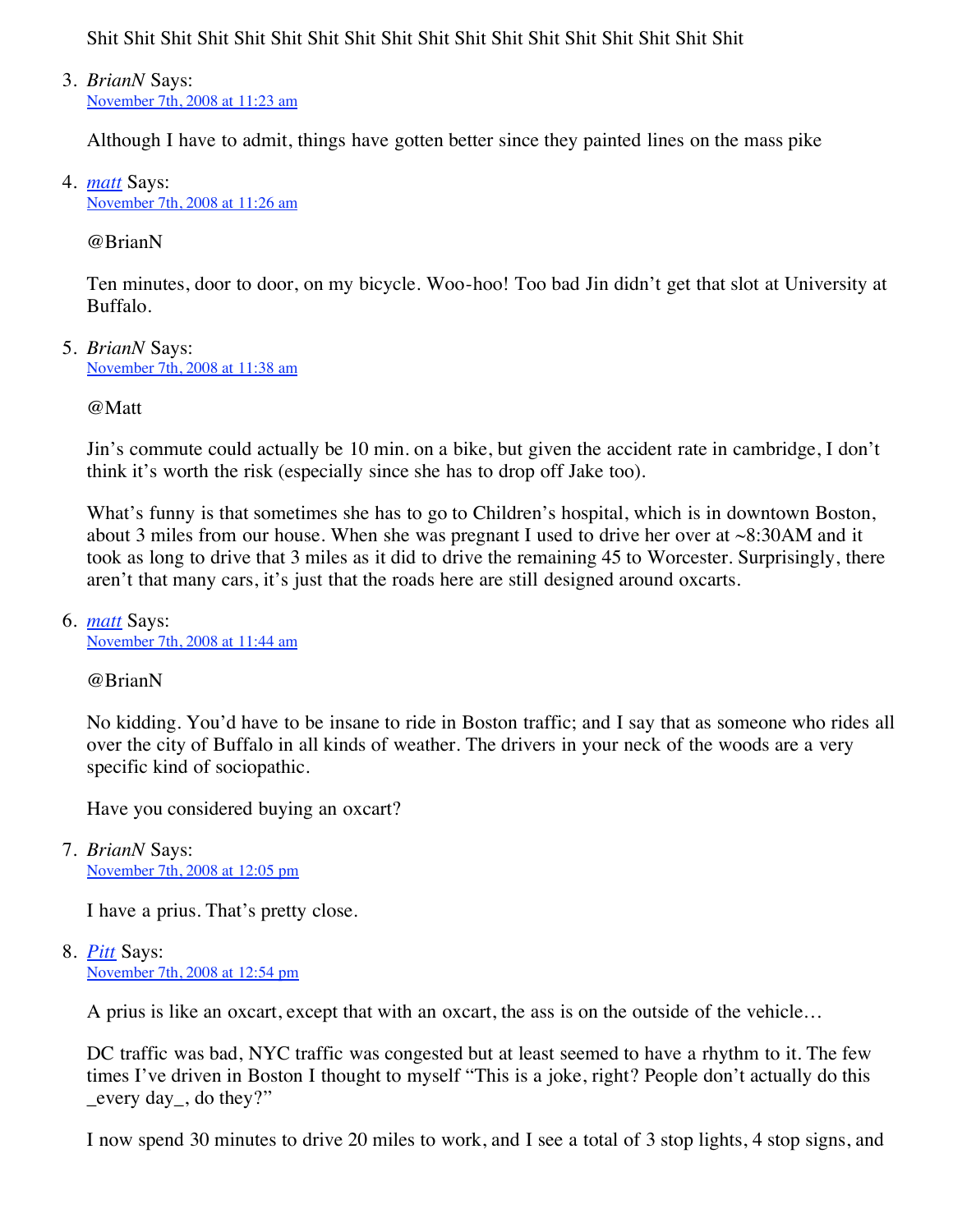Shit Shit Shit Shit Shit Shit Shit Shit Shit Shit Shit Shit Shit Shit Shit Shit Shit Shit

3. *BrianN* Says: [November 7th, 2008 at 11:23 am](http://traffic.berkeley.edu/news/newsarticles/11-2008/nov7_roadflares_blog/index.html#comment-424)

Although I have to admit, things have gotten better since they painted lines on the mass pike

4. *[matt](http://www.roadflares.org/)* Says: [November 7th, 2008 at 11:26 am](http://traffic.berkeley.edu/news/newsarticles/11-2008/nov7_roadflares_blog/index.html#comment-425)

@BrianN

Ten minutes, door to door, on my bicycle. Woo-hoo! Too bad Jin didn't get that slot at University at Buffalo.

5. *BrianN* Says: [November 7th, 2008 at 11:38 am](http://traffic.berkeley.edu/news/newsarticles/11-2008/nov7_roadflares_blog/index.html#comment-426)

@Matt

Jin's commute could actually be 10 min. on a bike, but given the accident rate in cambridge, I don't think it's worth the risk (especially since she has to drop off Jake too).

What's funny is that sometimes she has to go to Children's hospital, which is in downtown Boston, about 3 miles from our house. When she was pregnant I used to drive her over at ~8:30AM and it took as long to drive that 3 miles as it did to drive the remaining 45 to Worcester. Surprisingly, there aren't that many cars, it's just that the roads here are still designed around oxcarts.

6. *[matt](http://www.roadflares.org/)* Says: [November 7th, 2008 at 11:44 am](http://traffic.berkeley.edu/news/newsarticles/11-2008/nov7_roadflares_blog/index.html#comment-427)

@BrianN

No kidding. You'd have to be insane to ride in Boston traffic; and I say that as someone who rides all over the city of Buffalo in all kinds of weather. The drivers in your neck of the woods are a very specific kind of sociopathic.

Have you considered buying an oxcart?

7. *BrianN* Says: [November 7th, 2008 at 12:05 pm](http://traffic.berkeley.edu/news/newsarticles/11-2008/nov7_roadflares_blog/index.html#comment-428)

I have a prius. That's pretty close.

8. *[Pitt](http://thekittensburn.googlepages.com/)* Says: [November 7th, 2008 at 12:54 pm](http://traffic.berkeley.edu/news/newsarticles/11-2008/nov7_roadflares_blog/index.html#comment-429)

A prius is like an oxcart, except that with an oxcart, the ass is on the outside of the vehicle…

DC traffic was bad, NYC traffic was congested but at least seemed to have a rhythm to it. The few times I've driven in Boston I thought to myself "This is a joke, right? People don't actually do this  $\equiv$  every day, do they?"

I now spend 30 minutes to drive 20 miles to work, and I see a total of 3 stop lights, 4 stop signs, and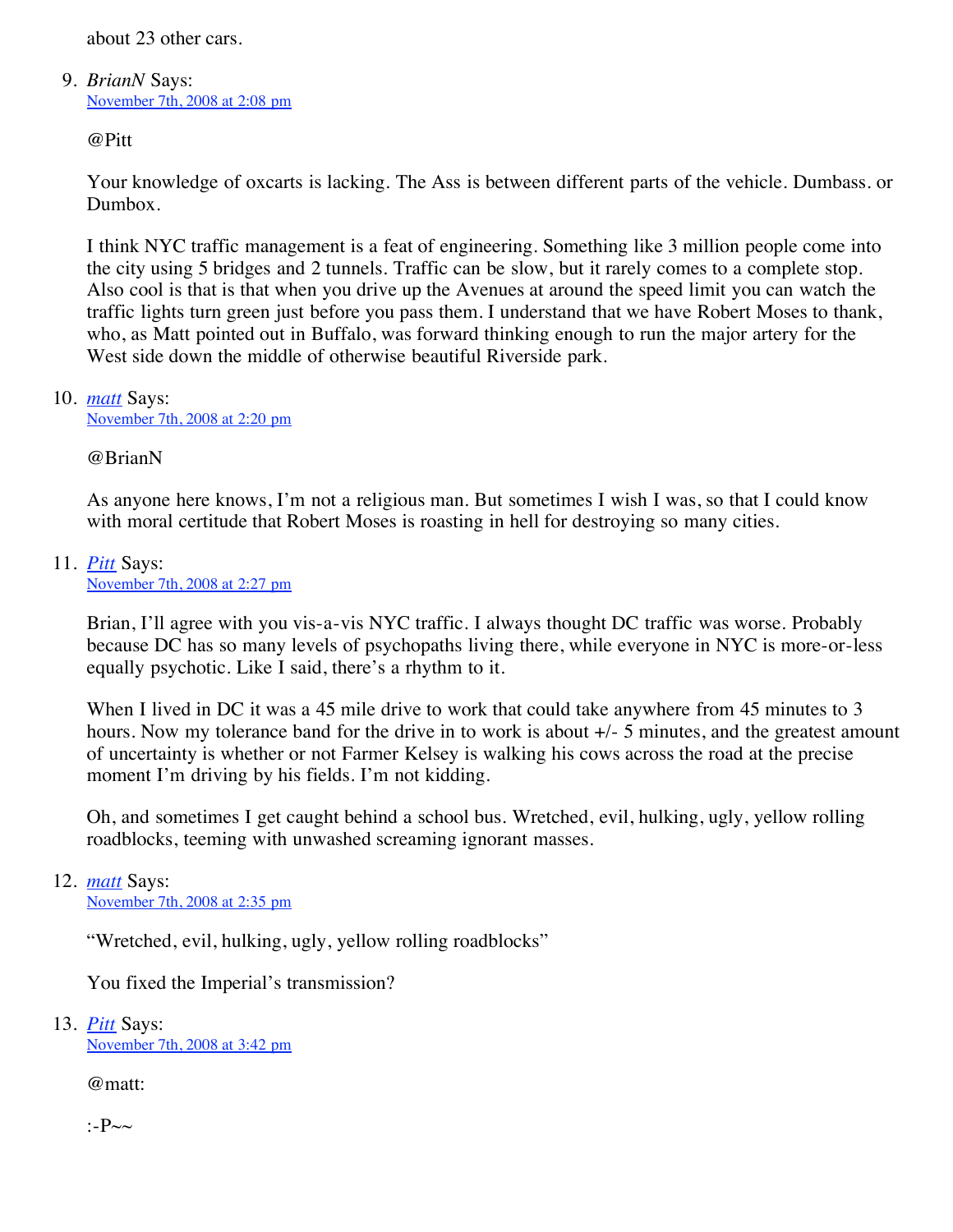about 23 other cars.

### 9. *BrianN* Says: [November 7th, 2008 at 2:08 pm](http://traffic.berkeley.edu/news/newsarticles/11-2008/nov7_roadflares_blog/index.html#comment-430)

@Pitt

Your knowledge of oxcarts is lacking. The Ass is between different parts of the vehicle. Dumbass. or Dumbox.

I think NYC traffic management is a feat of engineering. Something like 3 million people come into the city using 5 bridges and 2 tunnels. Traffic can be slow, but it rarely comes to a complete stop. Also cool is that is that when you drive up the Avenues at around the speed limit you can watch the traffic lights turn green just before you pass them. I understand that we have Robert Moses to thank, who, as Matt pointed out in Buffalo, was forward thinking enough to run the major artery for the West side down the middle of otherwise beautiful Riverside park.

# 10. *[matt](http://www.roadflares.org/)* Says:

[November 7th, 2008 at 2:20 pm](http://traffic.berkeley.edu/news/newsarticles/11-2008/nov7_roadflares_blog/index.html#comment-431)

# @BrianN

As anyone here knows, I'm not a religious man. But sometimes I wish I was, so that I could know with moral certitude that Robert Moses is roasting in hell for destroying so many cities.

# 11. *[Pitt](http://thekittensburn.googlepages.com/)* Says:

[November 7th, 2008 at 2:27 pm](http://traffic.berkeley.edu/news/newsarticles/11-2008/nov7_roadflares_blog/index.html#comment-432)

Brian, I'll agree with you vis-a-vis NYC traffic. I always thought DC traffic was worse. Probably because DC has so many levels of psychopaths living there, while everyone in NYC is more-or-less equally psychotic. Like I said, there's a rhythm to it.

When I lived in DC it was a 45 mile drive to work that could take anywhere from 45 minutes to 3 hours. Now my tolerance band for the drive in to work is about  $+/-$  5 minutes, and the greatest amount of uncertainty is whether or not Farmer Kelsey is walking his cows across the road at the precise moment I'm driving by his fields. I'm not kidding.

Oh, and sometimes I get caught behind a school bus. Wretched, evil, hulking, ugly, yellow rolling roadblocks, teeming with unwashed screaming ignorant masses.

# 12. *[matt](http://www.roadflares.org/)* Says:

[November 7th, 2008 at 2:35 pm](http://traffic.berkeley.edu/news/newsarticles/11-2008/nov7_roadflares_blog/index.html#comment-433)

"Wretched, evil, hulking, ugly, yellow rolling roadblocks"

You fixed the Imperial's transmission?

# 13. *[Pitt](http://thekittensburn.googlepages.com/)* Says:

[November 7th, 2008 at 3:42 pm](http://traffic.berkeley.edu/news/newsarticles/11-2008/nov7_roadflares_blog/index.html#comment-434)

@matt:

:- $P\sim\sim$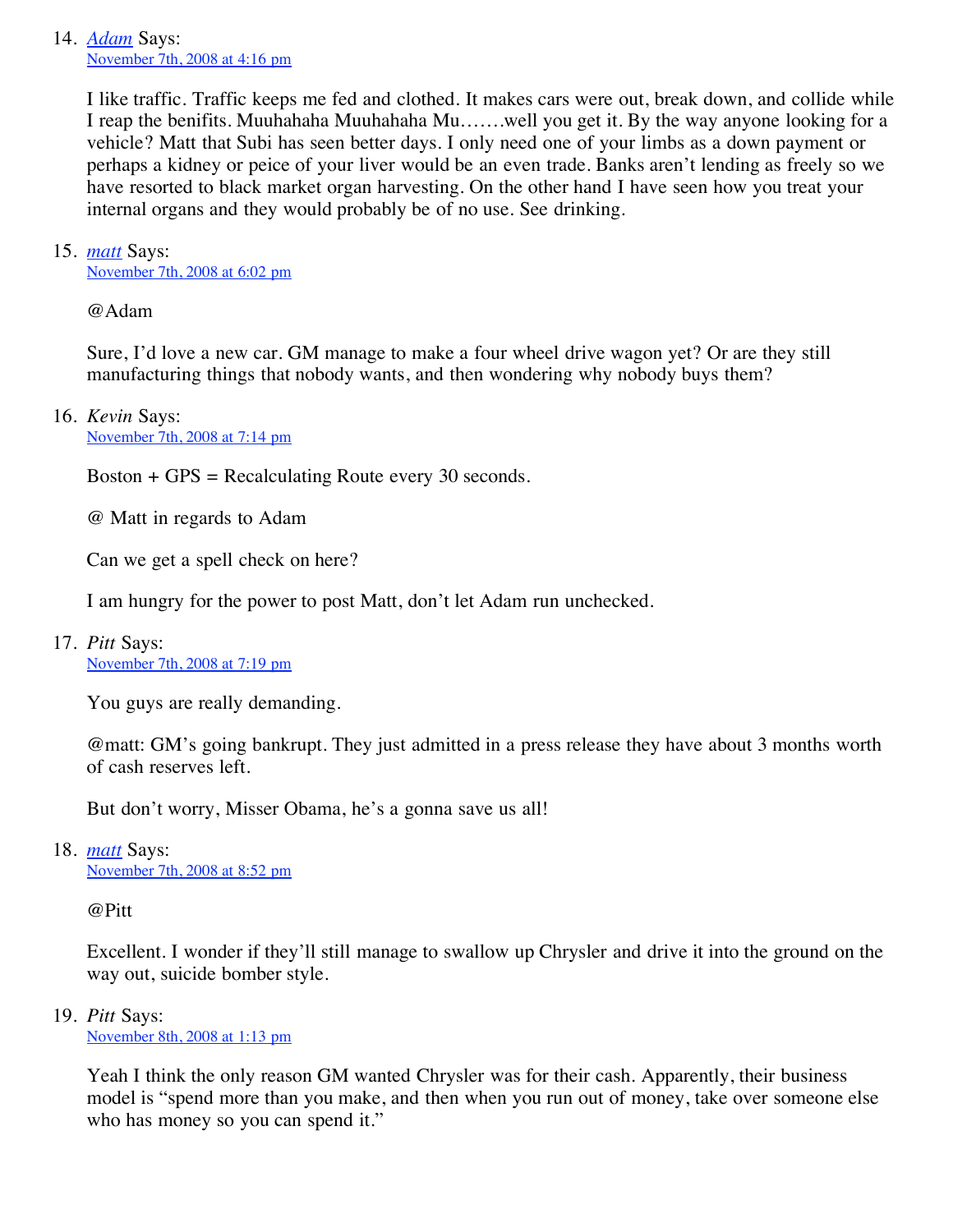# 14. *[Adam](http://www.gilloglychev.com/)* Says: [November 7th, 2008 at 4:16 pm](http://traffic.berkeley.edu/news/newsarticles/11-2008/nov7_roadflares_blog/index.html#comment-435)

I like traffic. Traffic keeps me fed and clothed. It makes cars were out, break down, and collide while I reap the benifits. Muuhahaha Muuhahaha Mu…….well you get it. By the way anyone looking for a vehicle? Matt that Subi has seen better days. I only need one of your limbs as a down payment or perhaps a kidney or peice of your liver would be an even trade. Banks aren't lending as freely so we have resorted to black market organ harvesting. On the other hand I have seen how you treat your internal organs and they would probably be of no use. See drinking.

# 15. *[matt](http://www.roadflares.org/)* Says:

[November 7th, 2008 at 6:02 pm](http://traffic.berkeley.edu/news/newsarticles/11-2008/nov7_roadflares_blog/index.html#comment-436)

@Adam

Sure, I'd love a new car. GM manage to make a four wheel drive wagon yet? Or are they still manufacturing things that nobody wants, and then wondering why nobody buys them?

#### 16. *Kevin* Says: [November 7th, 2008 at 7:14 pm](http://traffic.berkeley.edu/news/newsarticles/11-2008/nov7_roadflares_blog/index.html#comment-437)

 $Boston + GPS = Recalculating Route every 30 seconds.$ 

@ Matt in regards to Adam

Can we get a spell check on here?

I am hungry for the power to post Matt, don't let Adam run unchecked.

#### 17. *Pitt* Says: [November 7th, 2008 at 7:19 pm](http://traffic.berkeley.edu/news/newsarticles/11-2008/nov7_roadflares_blog/index.html#comment-439)

You guys are really demanding.

@matt: GM's going bankrupt. They just admitted in a press release they have about 3 months worth of cash reserves left.

But don't worry, Misser Obama, he's a gonna save us all!

# 18. *[matt](http://www.roadflares.org/)* Says:

[November 7th, 2008 at 8:52 pm](http://traffic.berkeley.edu/news/newsarticles/11-2008/nov7_roadflares_blog/index.html#comment-440)

@Pitt

Excellent. I wonder if they'll still manage to swallow up Chrysler and drive it into the ground on the way out, suicide bomber style.

# 19. *Pitt* Says:

[November 8th, 2008 at 1:13 pm](http://traffic.berkeley.edu/news/newsarticles/11-2008/nov7_roadflares_blog/index.html#comment-441)

Yeah I think the only reason GM wanted Chrysler was for their cash. Apparently, their business model is "spend more than you make, and then when you run out of money, take over someone else who has money so you can spend it."